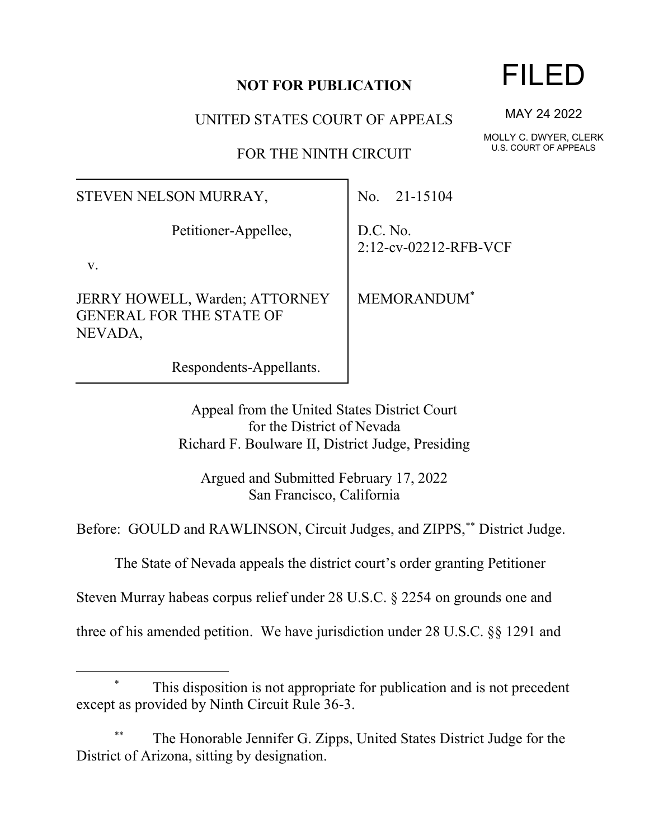## **NOT FOR PUBLICATION**

UNITED STATES COURT OF APPEALS

FOR THE NINTH CIRCUIT

STEVEN NELSON MURRAY,

Petitioner-Appellee,

v.

JERRY HOWELL, Warden; ATTORNEY GENERAL FOR THE STATE OF NEVADA,

Respondents-Appellants.

No. 21-15104

D.C. No. 2:12-cv-02212-RFB-VCF

MEMORANDUM\*

Appeal from the United States District Court for the District of Nevada Richard F. Boulware II, District Judge, Presiding

Argued and Submitted February 17, 2022 San Francisco, California

Before: GOULD and RAWLINSON, Circuit Judges, and ZIPPS,\*\* District Judge.

The State of Nevada appeals the district court's order granting Petitioner

Steven Murray habeas corpus relief under 28 U.S.C. § 2254 on grounds one and

three of his amended petition. We have jurisdiction under 28 U.S.C. §§ 1291 and

## This disposition is not appropriate for publication and is not precedent except as provided by Ninth Circuit Rule 36-3.

The Honorable Jennifer G. Zipps, United States District Judge for the District of Arizona, sitting by designation.

## FILED

MAY 24 2022

MOLLY C. DWYER, CLERK U.S. COURT OF APPEALS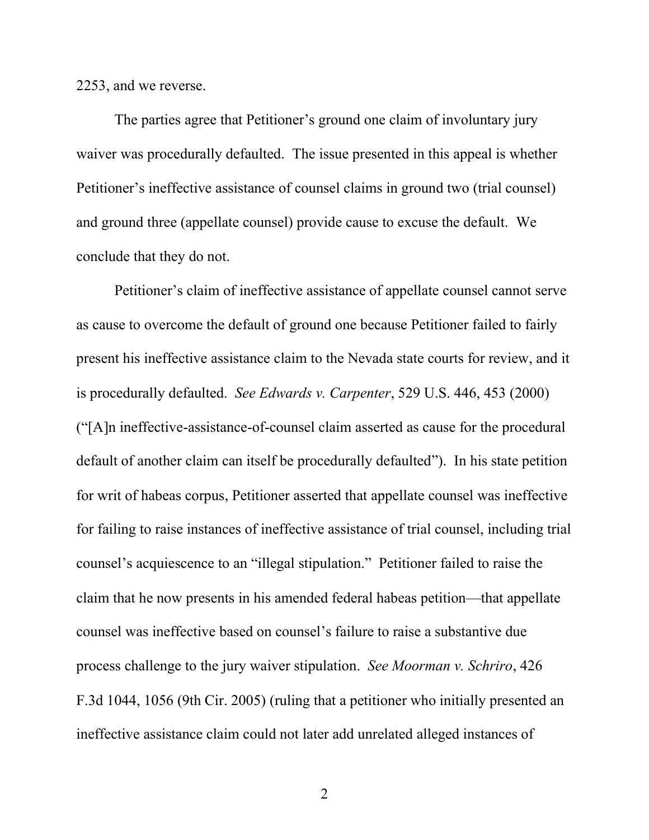2253, and we reverse.

The parties agree that Petitioner's ground one claim of involuntary jury waiver was procedurally defaulted. The issue presented in this appeal is whether Petitioner's ineffective assistance of counsel claims in ground two (trial counsel) and ground three (appellate counsel) provide cause to excuse the default. We conclude that they do not.

Petitioner's claim of ineffective assistance of appellate counsel cannot serve as cause to overcome the default of ground one because Petitioner failed to fairly present his ineffective assistance claim to the Nevada state courts for review, and it is procedurally defaulted. *See Edwards v. Carpenter*, 529 U.S. 446, 453 (2000) ("[A]n ineffective-assistance-of-counsel claim asserted as cause for the procedural default of another claim can itself be procedurally defaulted"). In his state petition for writ of habeas corpus, Petitioner asserted that appellate counsel was ineffective for failing to raise instances of ineffective assistance of trial counsel, including trial counsel's acquiescence to an "illegal stipulation." Petitioner failed to raise the claim that he now presents in his amended federal habeas petition—that appellate counsel was ineffective based on counsel's failure to raise a substantive due process challenge to the jury waiver stipulation. *See Moorman v. Schriro*, 426 F.3d 1044, 1056 (9th Cir. 2005) (ruling that a petitioner who initially presented an ineffective assistance claim could not later add unrelated alleged instances of

2 a set of  $\sim$  2 a set of  $\sim$  2 a set of  $\sim$  2 a set of  $\sim$  3 a set of  $\sim$  3 a set of  $\sim$  3 a set of  $\sim$  3 a set of  $\sim$  3 a set of  $\sim$  3 a set of  $\sim$  3 a set of  $\sim$  3 a set of  $\sim$  3 a set of  $\sim$  3 a set of  $\sim$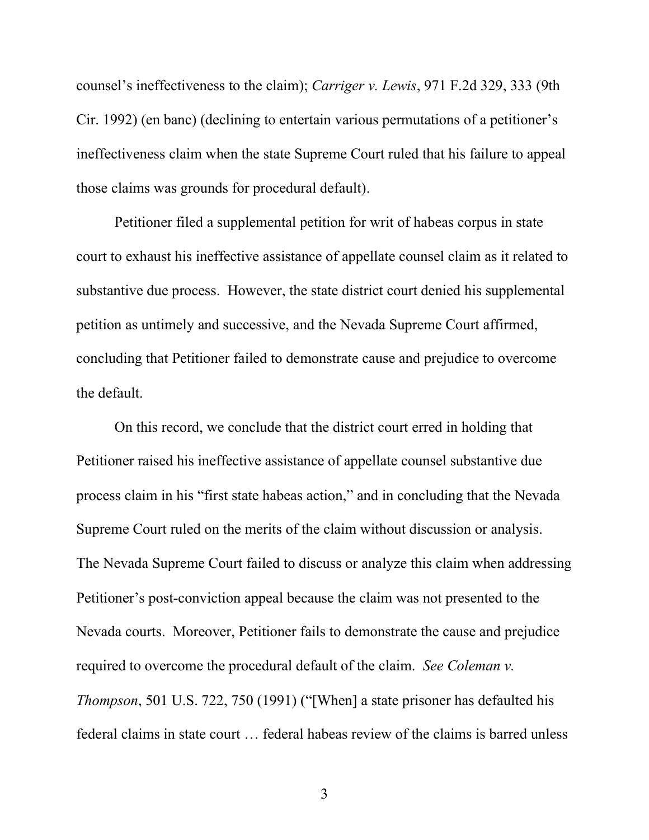counsel's ineffectiveness to the claim); *Carriger v. Lewis*, 971 F.2d 329, 333 (9th Cir. 1992) (en banc) (declining to entertain various permutations of a petitioner's ineffectiveness claim when the state Supreme Court ruled that his failure to appeal those claims was grounds for procedural default).

Petitioner filed a supplemental petition for writ of habeas corpus in state court to exhaust his ineffective assistance of appellate counsel claim as it related to substantive due process. However, the state district court denied his supplemental petition as untimely and successive, and the Nevada Supreme Court affirmed, concluding that Petitioner failed to demonstrate cause and prejudice to overcome the default.

On this record, we conclude that the district court erred in holding that Petitioner raised his ineffective assistance of appellate counsel substantive due process claim in his "first state habeas action," and in concluding that the Nevada Supreme Court ruled on the merits of the claim without discussion or analysis. The Nevada Supreme Court failed to discuss or analyze this claim when addressing Petitioner's post-conviction appeal because the claim was not presented to the Nevada courts. Moreover, Petitioner fails to demonstrate the cause and prejudice required to overcome the procedural default of the claim. *See Coleman v. Thompson*, 501 U.S. 722, 750 (1991) ("[When] a state prisoner has defaulted his federal claims in state court … federal habeas review of the claims is barred unless

3